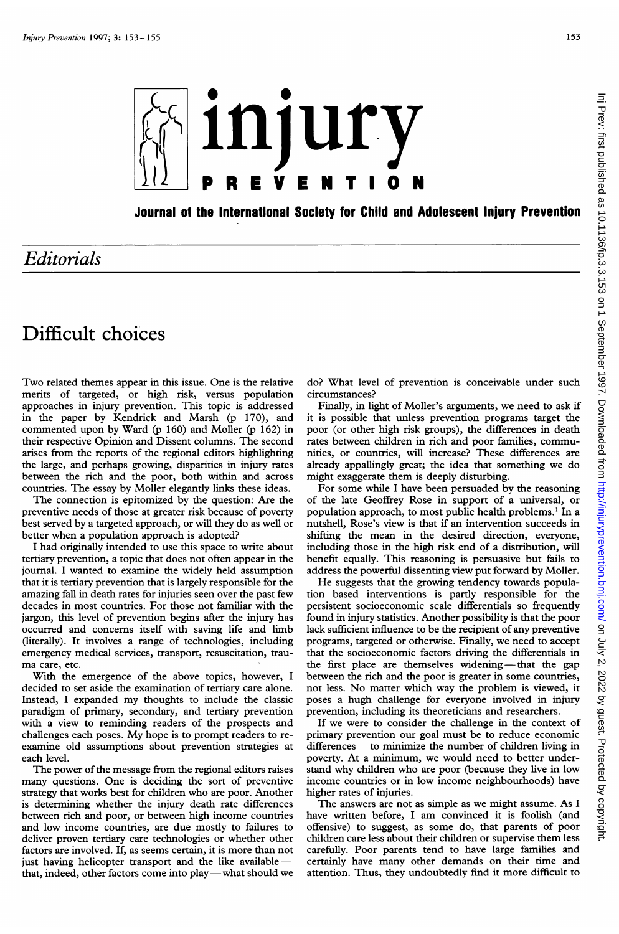

Journal of the International Society for Child and Adolescent Injury Prevention

## Editorials

## Difficult choices

Two related themes appear in this issue. One is the relative merits of targeted, or high risk, versus population approaches in injury prevention. This topic is addressed in the paper by Kendrick and Marsh (p 170), and commented upon by Ward (p 160) and Moller (p 162) in their respective Opinion and Dissent columns. The second arises from the reports of the regional editors highlighting the large, and perhaps growing, disparities in injury rates between the rich and the poor, both within and across countries. The essay by Moller elegantly links these ideas.

The connection is epitomized by the question: Are the preventive needs of those at greater risk because of poverty best served by a targeted approach, or will they do as well or better when a population approach is adopted?

<sup>I</sup> had originally intended to use this space to write about tertiary prevention, a topic that does not often appear in the journal. <sup>I</sup> wanted to examine the widely held assumption that it is tertiary prevention that is largely responsible for the amazing fall in death rates for injuries seen over the past few decades in most countries. For those not familiar with the jargon, this level of prevention begins after the injury has occurred and concerns itself with saving life and limb (literally). It involves a range of technologies, including emergency medical services, transport, resuscitation, trauma care, etc.

With the emergence of the above topics, however, <sup>I</sup> decided to set aside the examination of tertiary care alone. Instead, <sup>I</sup> expanded my thoughts to include the classic paradigm of primary, secondary, and tertiary prevention with a view to reminding readers of the prospects and challenges each poses. My hope is to prompt readers to reexamine old assumptions about prevention strategies at each level.

The power of the message from the regional editors raises many questions. One is deciding the sort of preventive strategy that works best for children who are poor. Another is determining whether the injury death rate differences between rich and poor, or between high income countries and low income countries, are due mostly to failures to deliver proven tertiary care technologies or whether other factors are involved. If, as seems certain, it is more than not just having helicopter transport and the like availablethat, indeed, other factors come into play — what should we do? What level of prevention is conceivable under such circumstances?

Finally, in light of Moller's arguments, we need to ask if it is possible that unless prevention programs target the poor (or other high risk groups), the differences in death rates between children in rich and poor families, communities, or countries, will increase? These differences are already appallingly great; the idea that something we do might exaggerate them is deeply disturbing.

For some while <sup>I</sup> have been persuaded by the reasoning of the late Geoffrey Rose in support of a universal, or population approach, to most public health problems.' In a nutshell, Rose's view is that if an intervention succeeds in shifting the mean in the desired direction, everyone, including those in the high risk end of a distribution, will benefit equally. This reasoning is persuasive but fails to address the powerful dissenting view put forward by Moller.

He suggests that the growing tendency towards population based interventions is partly responsible for the persistent socioeconomic scale differentials so frequently found in injury statistics. Another possibility is that the poor lack sufficient influence to be the recipient of any preventive programs, targeted or otherwise. Finally, we need to accept that the socioeconomic factors driving the differentials in the first place are themselves widening  $-\theta$  that the gap between the rich and the poor is greater in some countries, not less. No matter which way the problem is viewed, it poses a hugh challenge for everyone involved in injury prevention, including its theoreticians and researchers.

If we were to consider the challenge in the context of primary prevention our goal must be to reduce economic differences - to minimize the number of children living in poverty. At <sup>a</sup> minimum, we would need to better understand why children who are poor (because they live in low income countries or in low income neighbourhoods) have higher rates of injuries.

The answers are not as simple as we might assume. As <sup>I</sup> have written before, <sup>I</sup> am convinced it is foolish (and offensive) to suggest, as some do, that parents of poor children care less about their children or supervise them less carefully. Poor parents tend to have large families and certainly have many other demands on their time and attention. Thus, they undoubtedly find it more difficult to